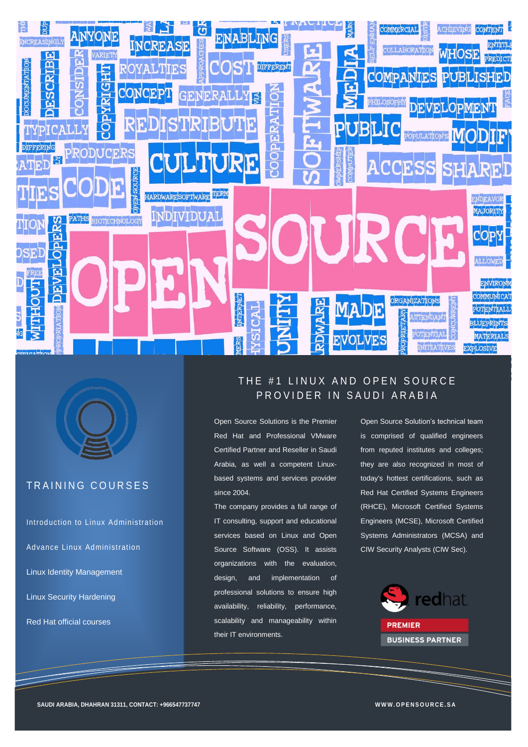



# TRAINING COURSES

Introduction to Linux Administration Advance Linux Administration Linux Identity Management

Linux Security Hardening

Red Hat official courses

# THE #1 LINUX AND OPEN SOURCE PROVIDER IN SAUDI ARABIA

Open Source Solutions is the Premier Red Hat and Professional VMware Certified Partner and Reseller in Saudi Arabia, as well a competent Linuxbased systems and services provider since 2004.

The company provides a full range of IT consulting, support and educational services based on Linux and Open Source Software (OSS). It assists organizations with the evaluation, design, and implementation of professional solutions to ensure high availability, reliability, performance, scalability and manageability within their IT environments.

Open Source Solution's technical team is comprised of qualified engineers from reputed institutes and colleges; they are also recognized in most of today's hottest certifications, such as Red Hat Certified Systems Engineers (RHCE), Microsoft Certified Systems Engineers (MCSE), Microsoft Certified Systems Administrators (MCSA) and CIW Security Analysts (CIW Sec).

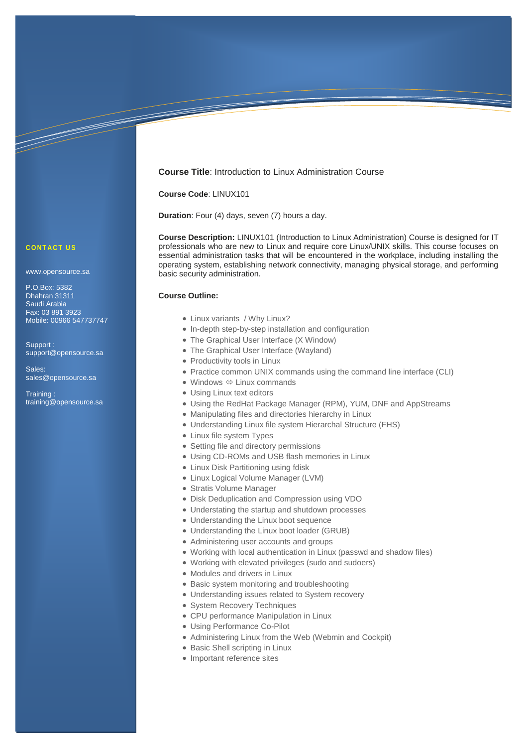## **Course Title**: Introduction to Linux Administration Course

#### **Course Code**: LINUX101

**Duration**: Four (4) days, seven (7) hours a day.

**Course Description:** LINUX101 (Introduction to Linux Administration) Course is designed for IT professionals who are new to Linux and require core Linux/UNIX skills. This course focuses on essential administration tasks that will be encountered in the workplace, including installing the operating system, establishing network connectivity, managing physical storage, and performing basic security administration.

## **Course Outline:**

- Linux variants / Why Linux?
- In-depth step-by-step installation and configuration
- The Graphical User Interface (X Window)
- The Graphical User Interface (Wayland)
- Productivity tools in Linux
- Practice common UNIX commands using the command line interface (CLI)
- Windows  $\Leftrightarrow$  Linux commands
- Using Linux text editors
- Using the RedHat Package Manager (RPM), YUM, DNF and AppStreams
- Manipulating files and directories hierarchy in Linux
- Understanding Linux file system Hierarchal Structure (FHS)
- Linux file system Types
- Setting file and directory permissions
- Using CD-ROMs and USB flash memories in Linux
- Linux Disk Partitioning using fdisk
- Linux Logical Volume Manager (LVM)
- Stratis Volume Manager
- Disk Deduplication and Compression using VDO
- Understating the startup and shutdown processes
- Understanding the Linux boot sequence
- Understanding the Linux boot loader (GRUB)
- Administering user accounts and groups
- Working with local authentication in Linux (passwd and shadow files)
- Working with elevated privileges (sudo and sudoers)
- Modules and drivers in Linux
- Basic system monitoring and troubleshooting
- Understanding issues related to System recovery
- System Recovery Techniques
- CPU performance Manipulation in Linux
- Using Performance Co-Pilot
- Administering Linux from the Web (Webmin and Cockpit)
- Basic Shell scripting in Linux
- Important reference sites

#### CONTACT US

www.opensource.sa

P.O.Box: 5382 Dhahran 31311 Saudi Arabia Fax: 03 891 3923 Mobile: 00966 547737747

Support : support@opensource.sa

Sales: sales@opensource.sa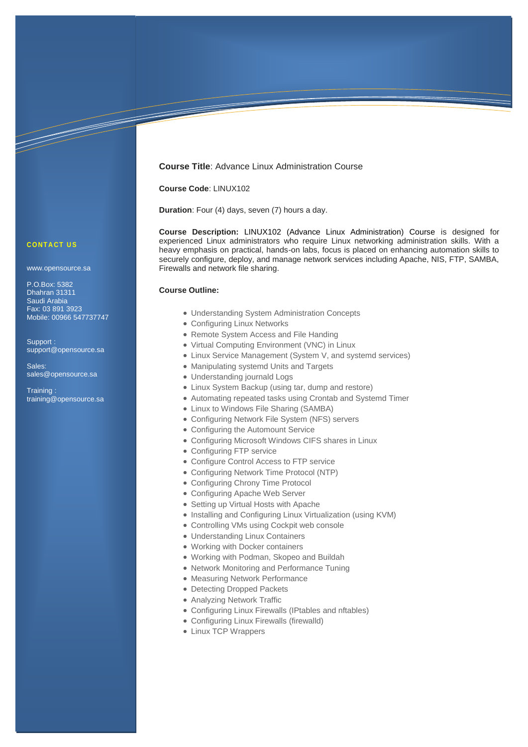## **Course Title**: Advance Linux Administration Course

## **Course Code**: LINUX102

**Duration**: Four (4) days, seven (7) hours a day.

**Course Description:** LINUX102 (Advance Linux Administration) Course is designed for experienced Linux administrators who require Linux networking administration skills. With a heavy emphasis on practical, hands-on labs, focus is placed on enhancing automation skills to securely configure, deploy, and manage network services including Apache, NIS, FTP, SAMBA, Firewalls and network file sharing.

#### **Course Outline:**

- Understanding System Administration Concepts
- Configuring Linux Networks
- Remote System Access and File Handing
- Virtual Computing Environment (VNC) in Linux
- Linux Service Management (System V, and systemd services)
- Manipulating systemd Units and Targets
- Understanding journald Logs
- Linux System Backup (using tar, dump and restore)
- Automating repeated tasks using Crontab and Systemd Timer
- Linux to Windows File Sharing (SAMBA)
- Configuring Network File System (NFS) servers
- Configuring the Automount Service
- Configuring Microsoft Windows CIFS shares in Linux
- Configuring FTP service
- Configure Control Access to FTP service
- Configuring Network Time Protocol (NTP)
- Configuring Chrony Time Protocol
- Configuring Apache Web Server
- Setting up Virtual Hosts with Apache
- Installing and Configuring Linux Virtualization (using KVM)
- Controlling VMs using Cockpit web console
- Understanding Linux Containers
- Working with Docker containers
- Working with Podman, Skopeo and Buildah
- Network Monitoring and Performance Tuning
- Measuring Network Performance
- Detecting Dropped Packets
- Analyzing Network Traffic
- Configuring Linux Firewalls (IPtables and nftables)
- Configuring Linux Firewalls (firewalld)
- Linux TCP Wrappers

#### **CONTACT US**

www.opensource.sa

P.O.Box: 5382 Dhahran 31311 Saudi Arabia Fax: 03 891 3923 Mobile: 00966 547737747

Support : support@opensource.sa

Sales: sales@opensource.sa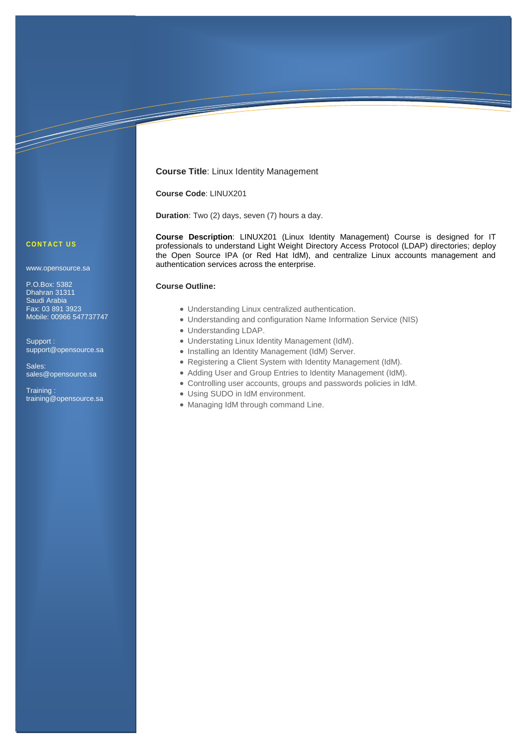## **Course Title**: Linux Identity Management

**Course Code**: LINUX201

**Duration**: Two (2) days, seven (7) hours a day.

**Course Description**: LINUX201 (Linux Identity Management) Course is designed for IT professionals to understand Light Weight Directory Access Protocol (LDAP) directories; deploy the Open Source IPA (or Red Hat IdM), and centralize Linux accounts management and authentication services across the enterprise.

#### **Course Outline:**

- Understanding Linux centralized authentication.
- Understanding and configuration Name Information Service (NIS)
- Understanding LDAP.
- Understating Linux Identity Management (IdM).
- Installing an Identity Management (IdM) Server.
- Registering a Client System with Identity Management (IdM).
- Adding User and Group Entries to Identity Management (IdM).
- Controlling user accounts, groups and passwords policies in IdM.
- Using SUDO in IdM environment.
- Managing IdM through command Line.

## **C O N T A C T U S**

www.opensource.sa

P.O.Box: 5382 Dhahran 31311 Saudi Arabia Fax: 03 891 3923 Mobile: 00966 547737747

Support : support@opensource.sa

Sales: sales@opensource.sa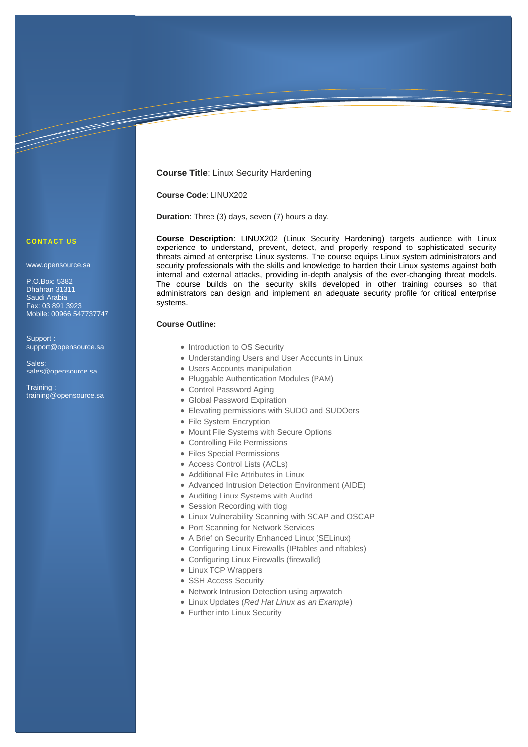## **Course Title**: Linux Security Hardening

## **Course Code**: LINUX202

**Duration**: Three (3) days, seven (7) hours a day.

**Course Description**: LINUX202 (Linux Security Hardening) targets audience with Linux experience to understand, prevent, detect, and properly respond to sophisticated security threats aimed at enterprise Linux systems. The course equips Linux system administrators and security professionals with the skills and knowledge to harden their Linux systems against both internal and external attacks, providing in-depth analysis of the ever-changing threat models. The course builds on the security skills developed in other training courses so that administrators can design and implement an adequate security profile for critical enterprise systems.

## **Course Outline:**

- Introduction to OS Security
- Understanding Users and User Accounts in Linux
- Users Accounts manipulation
- Pluggable Authentication Modules (PAM)
- Control Password Aging
- Global Password Expiration
- Elevating permissions with SUDO and SUDOers
- File System Encryption
- Mount File Systems with Secure Options
- Controlling File Permissions
- Files Special Permissions
- Access Control Lists (ACLs)
- Additional File Attributes in Linux
- Advanced Intrusion Detection Environment (AIDE)
- Auditing Linux Systems with Auditd
- Session Recording with tlog
- Linux Vulnerability Scanning with SCAP and OSCAP
- Port Scanning for Network Services
- A Brief on Security Enhanced Linux (SELinux)
- Configuring Linux Firewalls (IPtables and nftables)
- Configuring Linux Firewalls (firewalld)
- Linux TCP Wrappers
- SSH Access Security
- Network Intrusion Detection using arpwatch
- Linux Updates (*Red Hat Linux as an Example*)
- Further into Linux Security

## **CONTACT US**

www.opensource.sa

P.O.Box: 5382 Dhahran 31311 Saudi Arabia Fax: 03 891 3923 Mobile: 00966 547737747

Support : support@opensource.sa

Sales: sales@opensource.sa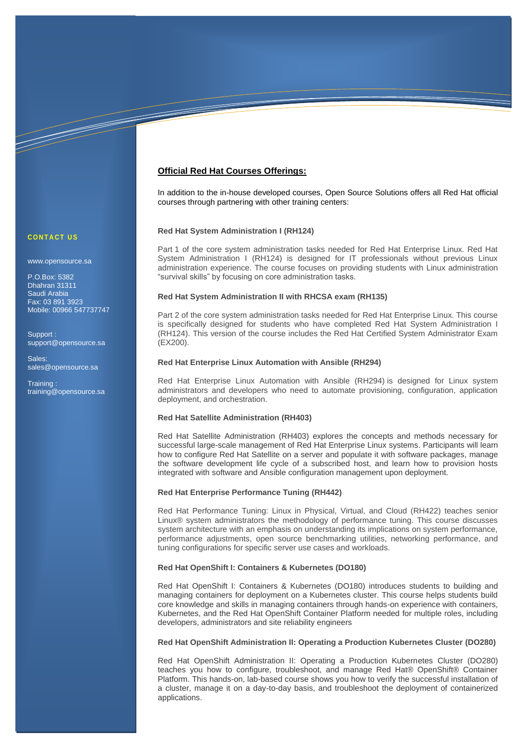# **Official Red Hat Courses Offerings:**

In addition to the in-house developed courses, Open Source Solutions offers all Red Hat official courses through partnering with other training centers:

### **Red Hat System Administration I (RH124)**

Part 1 of the core system administration tasks needed for Red Hat Enterprise Linux. Red Hat System Administration I (RH124) is designed for IT professionals without previous Linux administration experience. The course focuses on providing students with Linux administration "survival skills" by focusing on core administration tasks.

### **Red Hat System Administration II with RHCSA exam (RH135)**

Part 2 of the core system administration tasks needed for Red Hat Enterprise Linux. This course is specifically designed for students who have completed Red Hat System Administration I (RH124). This version of the course includes the Red Hat Certified System Administrator Exam (EX200).

#### **Red Hat Enterprise Linux Automation with Ansible (RH294)**

Red Hat Enterprise Linux Automation with Ansible (RH294) is designed for Linux system administrators and developers who need to automate provisioning, configuration, application deployment, and orchestration.

### **Red Hat Satellite Administration (RH403)**

Red Hat Satellite Administration (RH403) explores the concepts and methods necessary for successful large-scale management of Red Hat Enterprise Linux systems. Participants will learn how to configure Red Hat Satellite on a server and populate it with software packages, manage the software development life cycle of a subscribed host, and learn how to provision hosts integrated with software and Ansible configuration management upon deployment.

#### **Red Hat Enterprise Performance Tuning (RH442)**

Red Hat Performance Tuning: Linux in Physical, Virtual, and Cloud (RH422) teaches senior Linux® system administrators the methodology of performance tuning. This course discusses system architecture with an emphasis on understanding its implications on system performance, performance adjustments, open source benchmarking utilities, networking performance, and tuning configurations for specific server use cases and workloads.

#### **Red Hat OpenShift I: Containers & Kubernetes (DO180)**

Red Hat OpenShift I: Containers & Kubernetes (DO180) introduces students to building and managing containers for deployment on a Kubernetes cluster. This course helps students build core knowledge and skills in managing containers through hands-on experience with containers, Kubernetes, and the Red Hat OpenShift Container Platform needed for multiple roles, including developers, administrators and site reliability engineers

#### **Red Hat OpenShift Administration II: Operating a Production Kubernetes Cluster (DO280)**

Red Hat OpenShift Administration II: Operating a Production Kubernetes Cluster (DO280) teaches you how to configure, troubleshoot, and manage Red Hat® OpenShift® Container Platform. This hands-on, lab-based course shows you how to verify the successful installation of a cluster, manage it on a day-to-day basis, and troubleshoot the deployment of containerized applications.

## **C O N T A C T U S**

www.opensource.sa

P.O.Box: 5382 Dhahran 31311 Saudi Arabia Fax: 03 891 3923 Mobile: 00966 547737747

<u>Santa Baratas de Brasilia de Brasilia do Brasilia do Brasilia do Brasilia do Brasilia do Brasilia do Brasilia do Brasilia do Brasilia do Brasilia do Brasilia do Brasilia do Brasilia do Brasilia do Brasilia do Brasilia do </u>

Support : support@opensource.sa

Sales: sales@opensource.sa